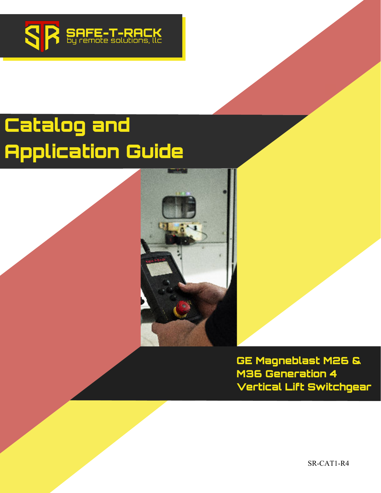

# **Catalog and Application Guide**



**GE Magneblast M26 & M36 Generation 4 Vertical Lift Switchgear**

SR-CAT1-R4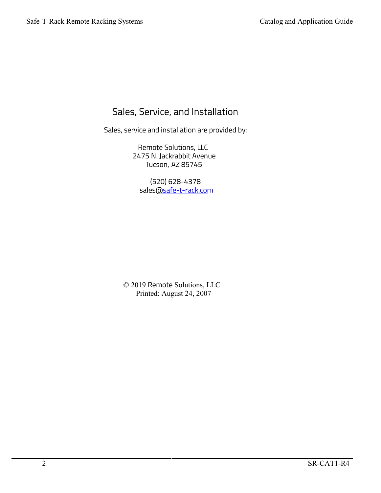### Sales, Service, and Installation

Sales, service and installation are provided by:

Remote Solutions, LLC 2475 N. Jackrabbit Avenue Tucson, AZ 85745

(520) 628-4378 sales@safe-t-rack.com

© 2019 Remote Solutions, LLC Printed: August 24, 2007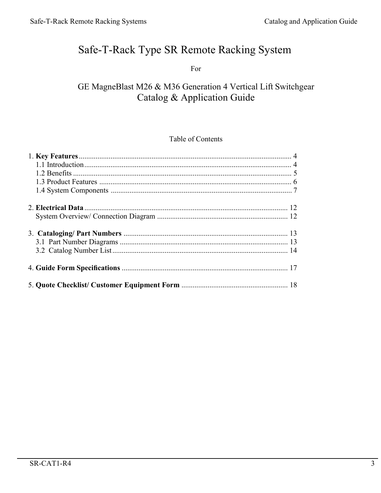### Safe-T-Rack Type SR Remote Racking System

For

### GE MagneBlast M26 & M36 Generation 4 Vertical Lift Switchgear Catalog & Application Guide

#### Table of Contents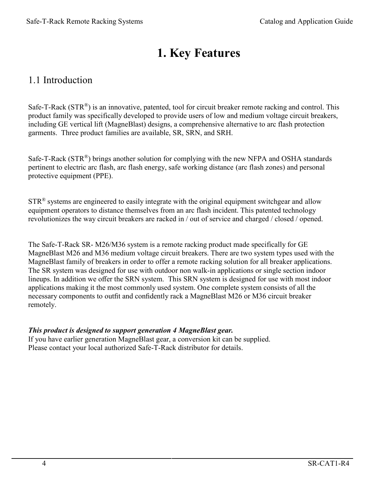## **1. Key Features**

### 1.1 Introduction

Safe-T-Rack  $(STR^{\circledast})$  is an innovative, patented, tool for circuit breaker remote racking and control. This product family was specifically developed to provide users of low and medium voltage circuit breakers, including GE vertical lift (MagneBlast) designs, a comprehensive alternative to arc flash protection garments. Three product families are available, SR, SRN, and SRH.

Safe-T-Rack ( $STR^{\circledR}$ ) brings another solution for complying with the new NFPA and OSHA standards pertinent to electric arc flash, arc flash energy, safe working distance (arc flash zones) and personal protective equipment (PPE).

 $STR<sup>®</sup>$  systems are engineered to easily integrate with the original equipment switchgear and allow equipment operators to distance themselves from an arc flash incident. This patented technology revolutionizes the way circuit breakers are racked in / out of service and charged / closed / opened.

The Safe-T-Rack SR- M26/M36 system is a remote racking product made specifically for GE MagneBlast M26 and M36 medium voltage circuit breakers. There are two system types used with the MagneBlast family of breakers in order to offer a remote racking solution for all breaker applications. The SR system was designed for use with outdoor non walk-in applications or single section indoor lineups. In addition we offer the SRN system. This SRN system is designed for use with most indoor applications making it the most commonly used system. One complete system consists of all the necessary components to outfit and confidently rack a MagneBlast M26 or M36 circuit breaker remotely.

#### *This product is designed to support generation 4 MagneBlast gear.*

If you have earlier generation MagneBlast gear, a conversion kit can be supplied. Please contact your local authorized Safe-T-Rack distributor for details.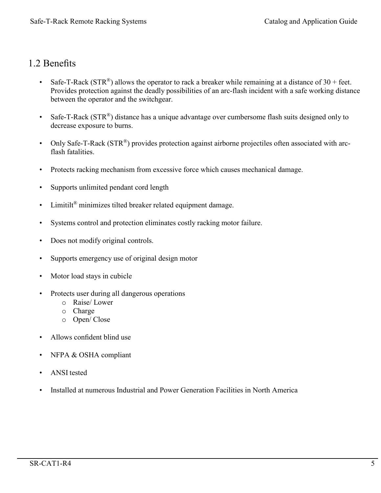#### 1.2 Benefits

- Safe-T-Rack (STR<sup>®</sup>) allows the operator to rack a breaker while remaining at a distance of 30 + feet. Provides protection against the deadly possibilities of an arc-flash incident with a safe working distance between the operator and the switchgear.
- Safe-T-Rack  $(STR^{\circledast})$  distance has a unique advantage over cumbersome flash suits designed only to decrease exposure to burns.
- Only Safe-T-Rack (STR®) provides protection against airborne projectiles often associated with arcflash fatalities.
- Protects racking mechanism from excessive force which causes mechanical damage.
- Supports unlimited pendant cord length
- Limitilt<sup>®</sup> minimizes tilted breaker related equipment damage.
- Systems control and protection eliminates costly racking motor failure.
- Does not modify original controls.
- Supports emergency use of original design motor
- Motor load stays in cubicle
- Protects user during all dangerous operations
	- o Raise/ Lower
	- o Charge
	- o Open/ Close
- Allows confident blind use
- NFPA & OSHA compliant
- ANSI tested
- Installed at numerous Industrial and Power Generation Facilities in North America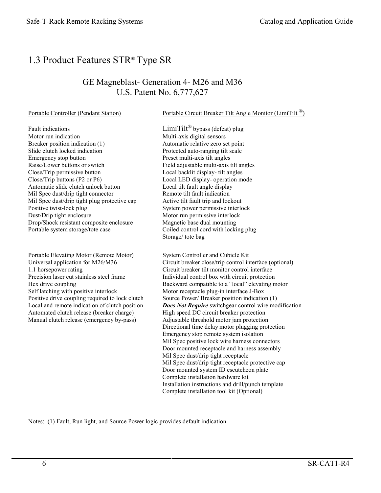### 1.3 Product Features STR® Type SR

#### GE Magneblast- Generation 4- M26 and M36 U.S. Patent No. 6,777,627

Portable Controller (Pendant Station) Portable Circuit Breaker Tilt Angle Monitor (LimiTilt <sup>®</sup>)

Fault indications  $Limit^{\circledR}$  bypass (defeat) plug Motor run indication Multi-axis digital sensors Breaker position indication (1) Automatic relative zero set point Slide clutch locked indication Protected auto-ranging tilt scale Emergency stop button Preset multi-axis tilt angles Raise/Lower buttons or switch Field adjustable multi-axis tilt angles Close/Trip permissive button Local backlit display- tilt angles Close/Trip buttons (P2 or P6) Local LED display- operation mode Automatic slide clutch unlock button<br>
Mil Spec dust/drip tight connector<br>
Remote tilt fault indication Mil Spec dust/drip tight connector Mil Spec dust/drip tight plug protective cap Active tilt fault trip and lockout Positive twist-lock plug example in the System power permissive interlock Dust/Drip tight enclosure Motor run permissive interlock Drop/Shock resistant composite enclosure Magnetic base dual mounting Portable system storage/tote case Coiled control cord with locking plug

Portable Elevating Motor (Remote Motor) System Controller and Cubicle Kit 1.1 horsepower rating Circuit breaker tilt monitor control interface<br>Precision laser cut stainless steel frame and Individual control box with circuit protection Positive drive coupling required to lock clutch Automated clutch release (breaker charge) High speed DC circuit breaker protection Manual clutch release (emergency by-pass) Adjustable threshold motor jam protection

Storage/ tote bag

Universal application for M26/M36 Circuit breaker close/trip control interface (optional) Individual control box with circuit protection Hex drive coupling **Backward** compatible to a "local" elevating motor Self latching with positive interlock Motor receptacle plug-in interface J-Box<br>
Positive drive coupling required to lock clutch Source Power/ Breaker position indication (1) Local and remote indication of clutch position *Does Not Require* switchgear control wire modification Directional time delay motor plugging protection Emergency stop remote system isolation Mil Spec positive lock wire harness connectors Door mounted receptacle and harness assembly Mil Spec dust/drip tight receptacle Mil Spec dust/drip tight receptacle protective cap Door mounted system ID escutcheon plate Complete installation hardware kit Installation instructions and drill/punch template Complete installation tool kit (Optional)

Notes: (1) Fault, Run light, and Source Power logic provides default indication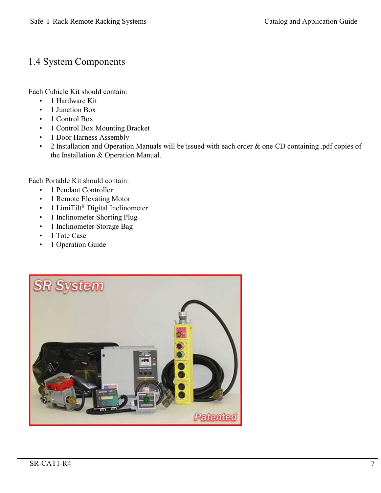### 1.4 System Components

Each Cubicle Kit should contain:

- 1 Hardware Kit
- 1 Junction Box
- 1 Control Box
- 1 Control Box Mounting Bracket
- 1 Door Harness Assembly
- 2 Installation and Operation Manuals will be issued with each order & one CD containing .pdf copies of the Installation & Operation Manual.

Each Portable Kit should contain:

- 1 Pendant Controller
- 1 Remote Elevating Motor
- 1 LimiTilt® Digital Inclinometer
- 1 Inclinometer Shorting Plug
- 1 Inclinometer Storage Bag
- 1 Tote Case
- 1 Operation Guide

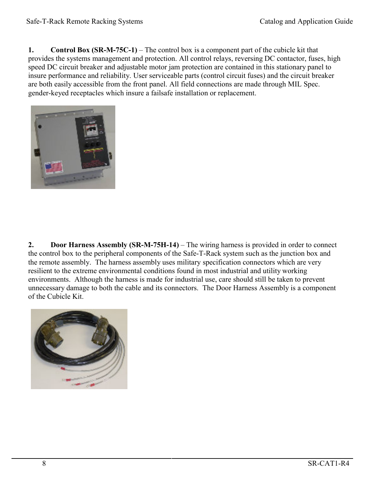**1. Control Box (SR-M-75C-1)** – The control box is a component part of the cubicle kit that provides the systems management and protection. All control relays, reversing DC contactor, fuses, high speed DC circuit breaker and adjustable motor jam protection are contained in this stationary panel to insure performance and reliability. User serviceable parts (control circuit fuses) and the circuit breaker are both easily accessible from the front panel. All field connections are made through MIL Spec. gender-keyed receptacles which insure a failsafe installation or replacement.



**2. Door Harness Assembly (SR-M-75H-14)** – The wiring harness is provided in order to connect the control box to the peripheral components of the Safe-T-Rack system such as the junction box and the remote assembly. The harness assembly uses military specification connectors which are very resilient to the extreme environmental conditions found in most industrial and utility working environments. Although the harness is made for industrial use, care should still be taken to prevent unnecessary damage to both the cable and its connectors. The Door Harness Assembly is a component of the Cubicle Kit.

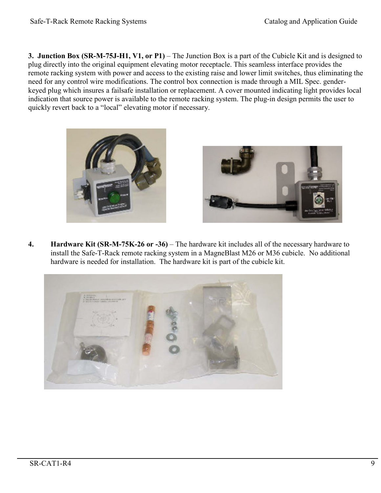**3. Junction Box (SR-M-75J-H1, V1, or P1)** – The Junction Box is a part of the Cubicle Kit and is designed to plug directly into the original equipment elevating motor receptacle. This seamless interface provides the remote racking system with power and access to the existing raise and lower limit switches, thus eliminating the need for any control wire modifications. The control box connection is made through a MIL Spec. genderkeyed plug which insures a failsafe installation or replacement. A cover mounted indicating light provides local indication that source power is available to the remote racking system. The plug-in design permits the user to quickly revert back to a "local" elevating motor if necessary.





**4. Hardware Kit (SR-M-75K-26 or -36)** – The hardware kit includes all of the necessary hardware to install the Safe-T-Rack remote racking system in a MagneBlast M26 or M36 cubicle. No additional hardware is needed for installation. The hardware kit is part of the cubicle kit.

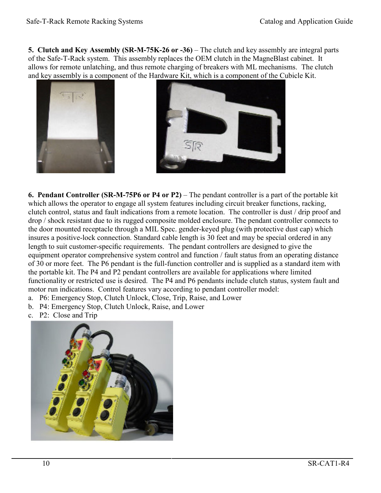**5. Clutch and Key Assembly (SR-M-75K-26 or -36)** – The clutch and key assembly are integral parts of the Safe-T-Rack system. This assembly replaces the OEM clutch in the MagneBlast cabinet. It allows for remote unlatching, and thus remote charging of breakers with ML mechanisms. The clutch and key assembly is a component of the Hardware Kit, which is a component of the Cubicle Kit.





**6. Pendant Controller (SR-M-75P6 or P4 or P2)** – The pendant controller is a part of the portable kit which allows the operator to engage all system features including circuit breaker functions, racking, clutch control, status and fault indications from a remote location. The controller is dust / drip proof and drop / shock resistant due to its rugged composite molded enclosure. The pendant controller connects to the door mounted receptacle through a MIL Spec. gender-keyed plug (with protective dust cap) which insures a positive-lock connection. Standard cable length is 30 feet and may be special ordered in any length to suit customer-specific requirements. The pendant controllers are designed to give the equipment operator comprehensive system control and function / fault status from an operating distance of 30 or more feet. The P6 pendant is the full-function controller and is supplied as a standard item with the portable kit. The P4 and P2 pendant controllers are available for applications where limited functionality or restricted use is desired. The P4 and P6 pendants include clutch status, system fault and motor run indications. Control features vary according to pendant controller model:

- a. P6: Emergency Stop, Clutch Unlock, Close, Trip, Raise, and Lower
- b. P4: Emergency Stop, Clutch Unlock, Raise, and Lower
- c. P2: Close and Trip

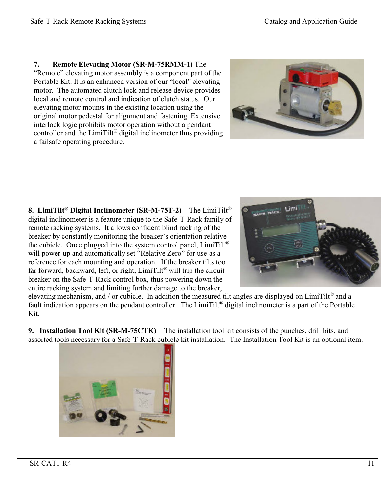#### **7. Remote Elevating Motor (SR-M-75RMM-1)** The

"Remote" elevating motor assembly is a component part of the Portable Kit. It is an enhanced version of our "local" elevating motor. The automated clutch lock and release device provides local and remote control and indication of clutch status. Our elevating motor mounts in the existing location using the original motor pedestal for alignment and fastening. Extensive interlock logic prohibits motor operation without a pendant controller and the  $Limit^{\circ}$  digital inclinometer thus providing a failsafe operating procedure.



**8. LimiTilt ® Digital Inclinometer (SR-M-75T-2)** – The LimiTilt® digital inclinometer is a feature unique to the Safe-T-Rack family of remote racking systems. It allows confident blind racking of the breaker by constantly monitoring the breaker's orientation relative the cubicle. Once plugged into the system control panel,  $Limit<sup>®</sup>$ will power-up and automatically set "Relative Zero" for use as a reference for each mounting and operation. If the breaker tilts too far forward, backward, left, or right,  $Limit^{\circledR}$  will trip the circuit breaker on the Safe-T-Rack control box, thus powering down the entire racking system and limiting further damage to the breaker,



elevating mechanism, and / or cubicle. In addition the measured tilt angles are displayed on LimiTilt® and a fault indication appears on the pendant controller. The LimiTilt<sup>®</sup> digital inclinometer is a part of the Portable Kit.

**9. Installation Tool Kit (SR-M-75CTK)** – The installation tool kit consists of the punches, drill bits, and assorted tools necessary for a Safe-T-Rack cubicle kit installation. The Installation Tool Kit is an optional item.

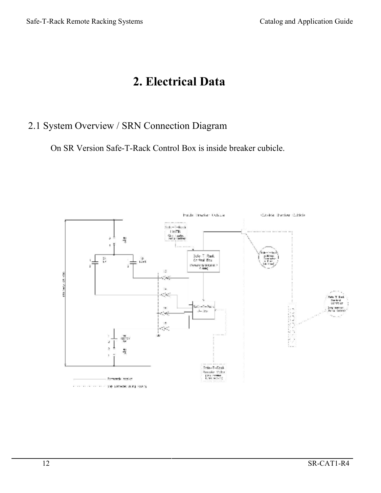### **2. Electrical Data**

### 2.1 System Overview / SRN Connection Diagram

On SR Version Safe-T-Rack Control Box is inside breaker cubicle.

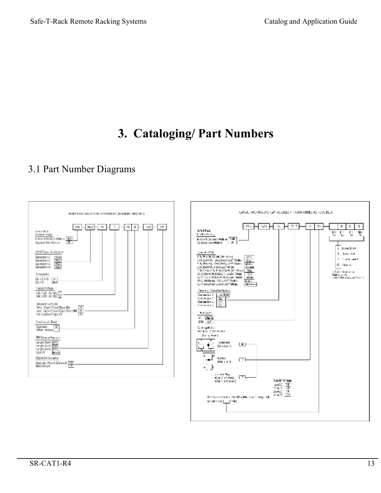### **3. Cataloging/ Part Numbers**

### 3.1 Part Number Diagrams

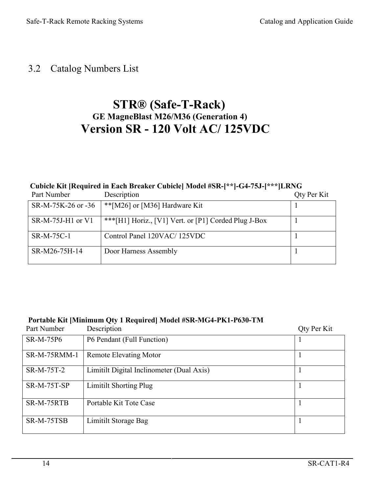### 3.2 Catalog Numbers List

### **STR® (Safe-T-Rack) GE MagneBlast M26/M36 (Generation 4) Version SR - 120 Volt AC/ 125VDC**

#### **Cubicle Kit [Required in Each Breaker Cubicle] Model #SR-[\*\*]-G4-75J-[\*\*\*]LRNG**

| Part Number        | Description                                          | Qty Per Kit |
|--------------------|------------------------------------------------------|-------------|
| SR-M-75K-26 or -36 | ** [M26] or [M36] Hardware Kit                       |             |
| SR-M-75J-H1 or V1  | ***[H1] Horiz., [V1] Vert. or [P1] Corded Plug J-Box |             |
| SR-M-75C-1         | Control Panel 120VAC/125VDC                          |             |
| SR-M26-75H-14      | Door Harness Assembly                                |             |

#### **Portable Kit [Minimum Qty 1 Required] Model #SR-MG4-PK1-P630-TM**

| Part Number         | Description                               | Qty Per Kit |
|---------------------|-------------------------------------------|-------------|
| SR-M-75P6           | P6 Pendant (Full Function)                |             |
| <b>SR-M-75RMM-1</b> | <b>Remote Elevating Motor</b>             |             |
| SR-M-75T-2          | Limitilt Digital Inclinometer (Dual Axis) |             |
| SR-M-75T-SP         | <b>Limitilt Shorting Plug</b>             |             |
| SR-M-75RTB          | Portable Kit Tote Case                    |             |
| SR-M-75TSB          | Limitilt Storage Bag                      |             |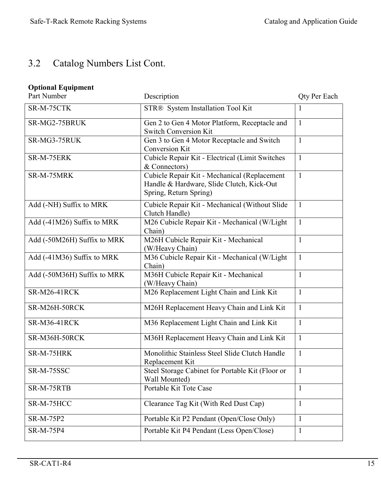### 3.2 Catalog Numbers List Cont.

### **Optional Equipment**

| Part Number                 | Description                                                                                                         | Qty Per Each |
|-----------------------------|---------------------------------------------------------------------------------------------------------------------|--------------|
| SR-M-75CTK                  | STR® System Installation Tool Kit                                                                                   | 1            |
| SR-MG2-75BRUK               | Gen 2 to Gen 4 Motor Platform, Receptacle and<br><b>Switch Conversion Kit</b>                                       | $\mathbf{1}$ |
| SR-MG3-75RUK                | Gen 3 to Gen 4 Motor Receptacle and Switch<br>Conversion Kit                                                        | $\mathbf{1}$ |
| SR-M-75ERK                  | Cubicle Repair Kit - Electrical (Limit Switches<br>& Connectors)                                                    | $\mathbf{1}$ |
| SR-M-75MRK                  | Cubicle Repair Kit - Mechanical (Replacement<br>Handle & Hardware, Slide Clutch, Kick-Out<br>Spring, Return Spring) | $\mathbf{1}$ |
| Add (-NH) Suffix to MRK     | Cubicle Repair Kit - Mechanical (Without Slide<br>Clutch Handle)                                                    | $\mathbf{1}$ |
| Add (-41M26) Suffix to MRK  | M26 Cubicle Repair Kit - Mechanical (W/Light<br>Chain)                                                              | $\mathbf{1}$ |
| Add (-50M26H) Suffix to MRK | M26H Cubicle Repair Kit - Mechanical<br>(W/Heavy Chain)                                                             | $\mathbf{1}$ |
| Add (-41M36) Suffix to MRK  | M36 Cubicle Repair Kit - Mechanical (W/Light<br>Chain)                                                              | $\mathbf{1}$ |
| Add (-50M36H) Suffix to MRK | M36H Cubicle Repair Kit - Mechanical<br>(W/Heavy Chain)                                                             | $\mathbf{1}$ |
| SR-M26-41RCK                | M26 Replacement Light Chain and Link Kit                                                                            | $\mathbf{1}$ |
| SR-M26H-50RCK               | M26H Replacement Heavy Chain and Link Kit                                                                           | 1            |
| <b>SR-M36-41RCK</b>         | M36 Replacement Light Chain and Link Kit                                                                            | $\mathbf{1}$ |
| SR-M36H-50RCK               | M36H Replacement Heavy Chain and Link Kit                                                                           | $\mathbf{1}$ |
| SR-M-75HRK                  | Monolithic Stainless Steel Slide Clutch Handle<br>Replacement Kit                                                   | $\mathbf{1}$ |
| SR-M-75SSC                  | Steel Storage Cabinet for Portable Kit (Floor or<br>Wall Mounted)                                                   |              |
| SR-M-75RTB                  | Portable Kit Tote Case                                                                                              | $\mathbf{1}$ |
| SR-M-75HCC                  | Clearance Tag Kit (With Red Dust Cap)                                                                               | $\mathbf{1}$ |
| SR-M-75P2                   | Portable Kit P2 Pendant (Open/Close Only)                                                                           | $\mathbf{1}$ |
| SR-M-75P4                   | Portable Kit P4 Pendant (Less Open/Close)                                                                           | $\mathbf{1}$ |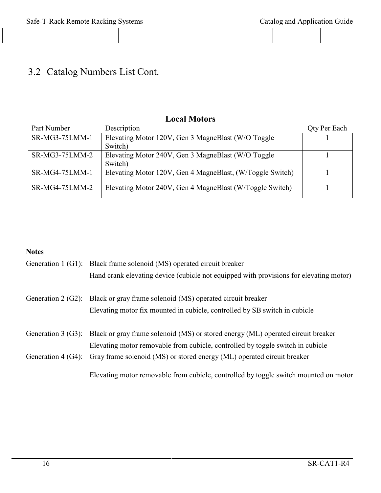### 3.2 Catalog Numbers List Cont.

| LWCAL DIVIUUL 9 |                                                           |                     |
|-----------------|-----------------------------------------------------------|---------------------|
| Part Number     | Description                                               | <b>Qty Per Each</b> |
| SR-MG3-75LMM-1  | Elevating Motor 120V, Gen 3 MagneBlast (W/O Toggle)       |                     |
|                 | Switch)                                                   |                     |
| SR-MG3-75LMM-2  | Elevating Motor 240V, Gen 3 MagneBlast (W/O Toggle)       |                     |
|                 | Switch)                                                   |                     |
| SR-MG4-75LMM-1  | Elevating Motor 120V, Gen 4 MagneBlast, (W/Toggle Switch) |                     |
|                 |                                                           |                     |
| SR-MG4-75LMM-2  | Elevating Motor 240V, Gen 4 MagneBlast (W/Toggle Switch)  |                     |
|                 |                                                           |                     |

### **Local Motors**

#### **Notes**

|                      | Generation 1 (G1): Black frame solenoid (MS) operated circuit breaker                               |
|----------------------|-----------------------------------------------------------------------------------------------------|
|                      | Hand crank elevating device (cubicle not equipped with provisions for elevating motor)              |
|                      | Generation 2 (G2): Black or gray frame solenoid (MS) operated circuit breaker                       |
|                      | Elevating motor fix mounted in cubicle, controlled by SB switch in cubicle                          |
|                      | Generation 3 (G3): Black or gray frame solenoid (MS) or stored energy (ML) operated circuit breaker |
|                      | Elevating motor removable from cubicle, controlled by toggle switch in cubicle                      |
| Generation $4(G4)$ : | Gray frame solenoid (MS) or stored energy (ML) operated circuit breaker                             |
|                      | Elevating motor removable from cubicle, controlled by toggle switch mounted on motor                |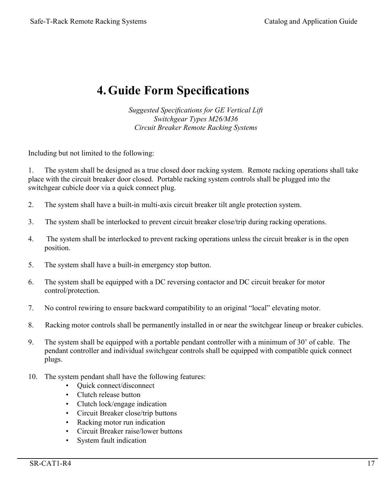### **4.Guide Form Specifications**

*Suggested Specifications for GE Vertical Lift Switchgear Types M26/M36 Circuit Breaker Remote Racking Systems*

Including but not limited to the following:

1. The system shall be designed as a true closed door racking system. Remote racking operations shall take place with the circuit breaker door closed. Portable racking system controls shall be plugged into the switchgear cubicle door via a quick connect plug.

- 2. The system shall have a built-in multi-axis circuit breaker tilt angle protection system.
- 3. The system shall be interlocked to prevent circuit breaker close/trip during racking operations.
- 4. The system shall be interlocked to prevent racking operations unless the circuit breaker is in the open position.
- 5. The system shall have a built-in emergency stop button.
- 6. The system shall be equipped with a DC reversing contactor and DC circuit breaker for motor control/protection.
- 7. No control rewiring to ensure backward compatibility to an original "local" elevating motor.
- 8. Racking motor controls shall be permanently installed in or near the switchgear lineup or breaker cubicles.
- 9. The system shall be equipped with a portable pendant controller with a minimum of 30' of cable. The pendant controller and individual switchgear controls shall be equipped with compatible quick connect plugs.
- 10. The system pendant shall have the following features:
	- Quick connect/disconnect
	- Clutch release button
	- Clutch lock/engage indication
	- Circuit Breaker close/trip buttons
	- Racking motor run indication
	- Circuit Breaker raise/lower buttons
	- System fault indication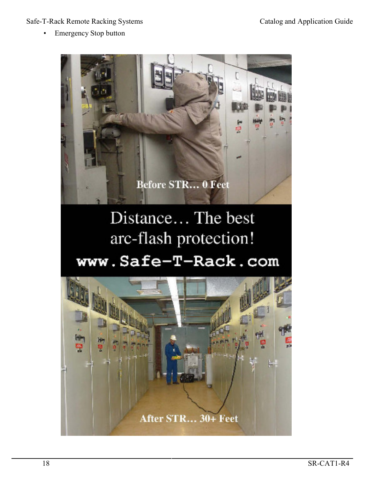#### Safe-T-Rack Remote Racking Systems Catalog and Application Guide

• Emergency Stop button



# Distance... The best arc-flash protection! www.Safe-T-Rack.com